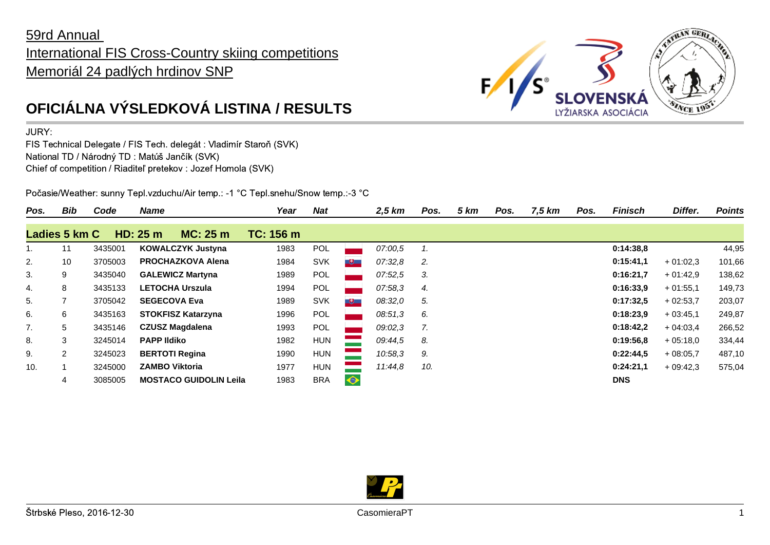## 59rd Annual International FIS Cross-Country skiing competitions Memoriál 24 padlých hrdinov SNP



## JURY:

FIS Technical Delegate / FIS Tech. delegát : Vladimír Staroň (SVK) National TD / Národný TD : Matúš Jančík (SVK) Chief of competition / Riaditeľ pretekov : Jozef Homola (SVK)

Počasie/Weather: sunny Tepl.vzduchu/Air temp.: -1 °C Tepl.snehu/Snow temp.:-3 °C

| Pos.          | Bib            | Code    | <b>Name</b>                   | Year      | <b>Nat</b> |              | 2,5 km  | Pos. | 5 km | Pos. | 7,5 km | Pos. | <b>Finisch</b> | Differ.    | <b>Points</b> |
|---------------|----------------|---------|-------------------------------|-----------|------------|--------------|---------|------|------|------|--------|------|----------------|------------|---------------|
| Ladies 5 km C |                |         | HD: 25 m<br>MC: 25m           | TC: 156 m |            |              |         |      |      |      |        |      |                |            |               |
| 1.            | 11             | 3435001 | <b>KOWALCZYK Justyna</b>      | 1983      | POL        |              | 07:00.5 | 1.   |      |      |        |      | 0:14:38.8      |            | 44,95         |
| 2.            | 10             | 3705003 | <b>PROCHAZKOVA Alena</b>      | 1984      | <b>SVK</b> | $+$          | 07:32,8 | 2.   |      |      |        |      | 0:15:41,1      | $+01:02.3$ | 101,66        |
| 3.            | 9              | 3435040 | <b>GALEWICZ Martyna</b>       | 1989      | POL        |              | 07:52,5 | 3.   |      |      |        |      | 0:16:21.7      | $+01:42.9$ | 138,62        |
| 4.            | 8              | 3435133 | <b>LETOCHA Urszula</b>        | 1994      | POL        |              | 07:58.3 | 4.   |      |      |        |      | 0:16:33.9      | $+01:55.1$ | 149,73        |
| 5.            | 7              | 3705042 | <b>SEGECOVA Eva</b>           | 1989      | <b>SVK</b> | $\mathbf{H}$ | 08:32,0 | 5.   |      |      |        |      | 0:17:32,5      | $+02:53.7$ | 203,07        |
| 6.            | 6              | 3435163 | <b>STOKFISZ Katarzyna</b>     | 1996      | POL        |              | 08:51,3 | 6.   |      |      |        |      | 0:18:23.9      | $+03:45.1$ | 249,87        |
| 7.            | 5              | 3435146 | <b>CZUSZ Magdalena</b>        | 1993      | POL        |              | 09:02.3 | 7.   |      |      |        |      | 0:18:42.2      | $+04:03.4$ | 266,52        |
| 8.            | 3              | 3245014 | <b>PAPP Ildiko</b>            | 1982      | <b>HUN</b> |              | 09:44.5 | 8.   |      |      |        |      | 0:19:56,8      | $+05:18.0$ | 334,44        |
| 9.            | $\overline{2}$ | 3245023 | <b>BERTOTI Regina</b>         | 1990      | <b>HUN</b> |              | 10:58,3 | 9.   |      |      |        |      | 0:22:44,5      | $+08:05,7$ | 487,10        |
| 10.           |                | 3245000 | <b>ZAMBO Viktoria</b>         | 1977      | <b>HUN</b> |              | 11:44,8 | 10.  |      |      |        |      | 0:24:21.1      | $+09:42.3$ | 575,04        |
|               | 4              | 3085005 | <b>MOSTACO GUIDOLIN Leila</b> | 1983      | <b>BRA</b> | $\bullet$    |         |      |      |      |        |      | <b>DNS</b>     |            |               |